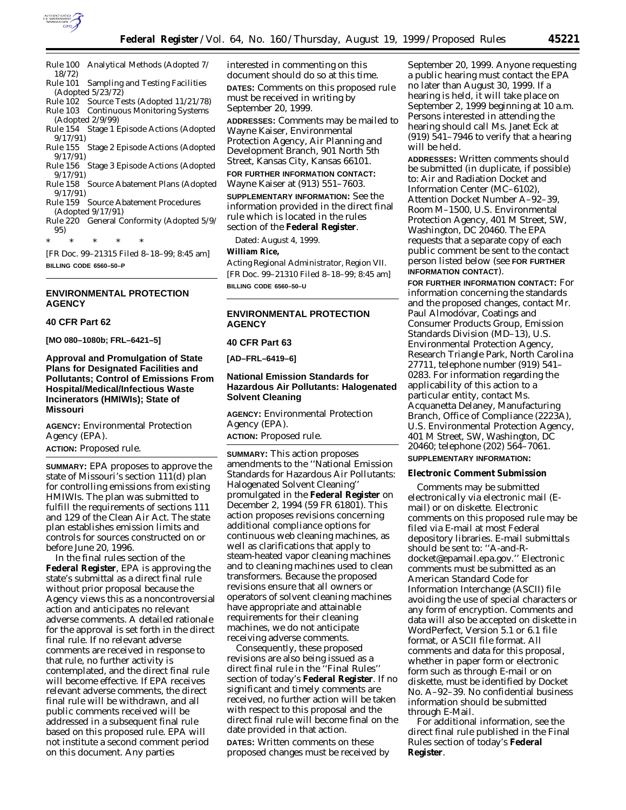

- Rule 100 Analytical Methods (Adopted 7/ 18/72)<br>Rule 101
- Sampling and Testing Facilities (Adopted 5/23/72)
- Rule 102 Source Tests (Adopted 11/21/78)
- Rule 103 Continuous Monitoring Systems (Adopted 2/9/99)
- Rule 154 Stage 1 Episode Actions (Adopted 9/17/91)
- Rule 155 Stage 2 Episode Actions (Adopted 9/17/91)
- Rule 156 Stage 3 Episode Actions (Adopted 9/17/91)
- Rule 158 Source Abatement Plans (Adopted 9/17/91)
- Rule 159 Source Abatement Procedures (Adopted 9/17/91)
- Rule 220 General Conformity (Adopted 5/9/ 95)

\* \* \* \* \*

[FR Doc. 99–21315 Filed 8–18–99; 8:45 am] **BILLING CODE 6560–50–P**

### **ENVIRONMENTAL PROTECTION AGENCY**

### **40 CFR Part 62**

**[MO 080–1080b; FRL–6421–5]**

# **Approval and Promulgation of State Plans for Designated Facilities and Pollutants; Control of Emissions From Hospital/Medical/Infectious Waste Incinerators (HMIWIs); State of Missouri**

**AGENCY:** Environmental Protection Agency (EPA).

**ACTION:** Proposed rule.

**SUMMARY:** EPA proposes to approve the state of Missouri's section 111(d) plan for controlling emissions from existing HMIWIs. The plan was submitted to fulfill the requirements of sections 111 and 129 of the Clean Air Act. The state plan establishes emission limits and controls for sources constructed on or before June 20, 1996.

In the final rules section of the **Federal Register**, EPA is approving the state's submittal as a direct final rule without prior proposal because the Agency views this as a noncontroversial action and anticipates no relevant adverse comments. A detailed rationale for the approval is set forth in the direct final rule. If no relevant adverse comments are received in response to that rule, no further activity is contemplated, and the direct final rule will become effective. If EPA receives relevant adverse comments, the direct final rule will be withdrawn, and all public comments received will be addressed in a subsequent final rule based on this proposed rule. EPA will not institute a second comment period on this document. Any parties

interested in commenting on this document should do so at this time. **DATES:** Comments on this proposed rule must be received in writing by September 20, 1999.

**ADDRESSES:** Comments may be mailed to Wayne Kaiser, Environmental Protection Agency, Air Planning and Development Branch, 901 North 5th Street, Kansas City, Kansas 66101.

**FOR FURTHER INFORMATION CONTACT:** Wayne Kaiser at (913) 551–7603.

**SUPPLEMENTARY INFORMATION:** See the information provided in the direct final rule which is located in the rules section of the **Federal Register**.

Dated: August 4, 1999.

### **William Rice,**

*Acting Regional Administrator, Region VII.* [FR Doc. 99–21310 Filed 8–18–99; 8:45 am] **BILLING CODE 6560–50–U**

# **ENVIRONMENTAL PROTECTION AGENCY**

# **40 CFR Part 63**

**[AD–FRL–6419–6]**

### **National Emission Standards for Hazardous Air Pollutants: Halogenated Solvent Cleaning**

**AGENCY:** Environmental Protection Agency (EPA). **ACTION:** Proposed rule.

**SUMMARY:** This action proposes amendments to the ''National Emission Standards for Hazardous Air Pollutants: Halogenated Solvent Cleaning'' promulgated in the **Federal Register** on December 2, 1994 (59 FR 61801). This action proposes revisions concerning additional compliance options for continuous web cleaning machines, as well as clarifications that apply to steam-heated vapor cleaning machines and to cleaning machines used to clean transformers. Because the proposed revisions ensure that all owners or operators of solvent cleaning machines have appropriate and attainable requirements for their cleaning machines, we do not anticipate receiving adverse comments.

Consequently, these proposed revisions are also being issued as a direct final rule in the ''Final Rules'' section of today's **Federal Register**. If no significant and timely comments are received, no further action will be taken with respect to this proposal and the direct final rule will become final on the date provided in that action.

**DATES:** Written comments on these proposed changes must be received by September 20, 1999. Anyone requesting a public hearing must contact the EPA no later than August 30, 1999. If a hearing is held, it will take place on September 2, 1999 beginning at 10 a.m. Persons interested in attending the hearing should call Ms. Janet Eck at (919) 541–7946 to verify that a hearing will be held.

**ADDRESSES:** Written comments should be submitted (in duplicate, if possible) to: Air and Radiation Docket and Information Center (MC–6102), Attention Docket Number A–92–39, Room M–1500, U.S. Environmental Protection Agency, 401 M Street, SW, Washington, DC 20460. The EPA requests that a separate copy of each public comment be sent to the contact person listed below (see **FOR FURTHER INFORMATION CONTACT**).

**FOR FURTHER INFORMATION CONTACT:** For information concerning the standards and the proposed changes, contact Mr. Paul Almodóvar, Coatings and Consumer Products Group, Emission Standards Division (MD–13), U.S. Environmental Protection Agency, Research Triangle Park, North Carolina 27711, telephone number (919) 541– 0283. For information regarding the applicability of this action to a particular entity, contact Ms. Acquanetta Delaney, Manufacturing Branch, Office of Compliance (2223A), U.S. Environmental Protection Agency, 401 M Street, SW, Washington, DC 20460; telephone (202) 564–7061.

**SUPPLEMENTARY INFORMATION:**

### **Electronic Comment Submission**

Comments may be submitted electronically via electronic mail (Email) or on diskette. Electronic comments on this proposed rule may be filed via E-mail at most Federal depository libraries. E-mail submittals should be sent to: ''A-and-Rdocket@epamail.epa.gov.'' Electronic comments must be submitted as an American Standard Code for Information Interchange (ASCII) file avoiding the use of special characters or any form of encryption. Comments and data will also be accepted on diskette in WordPerfect, Version 5.1 or 6.1 file format, or ASCII file format. All comments and data for this proposal, whether in paper form or electronic form such as through E-mail or on diskette, must be identified by Docket No. A–92–39. No confidential business information should be submitted through E-Mail.

For additional information, see the direct final rule published in the Final Rules section of today's **Federal Register**.